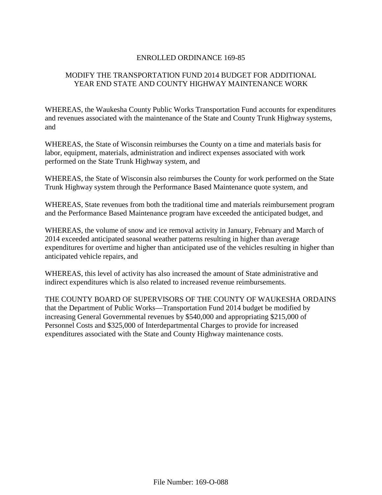## ENROLLED ORDINANCE 169-85

# MODIFY THE TRANSPORTATION FUND 2014 BUDGET FOR ADDITIONAL YEAR END STATE AND COUNTY HIGHWAY MAINTENANCE WORK

WHEREAS, the Waukesha County Public Works Transportation Fund accounts for expenditures and revenues associated with the maintenance of the State and County Trunk Highway systems, and

WHEREAS, the State of Wisconsin reimburses the County on a time and materials basis for labor, equipment, materials, administration and indirect expenses associated with work performed on the State Trunk Highway system, and

WHEREAS, the State of Wisconsin also reimburses the County for work performed on the State Trunk Highway system through the Performance Based Maintenance quote system, and

WHEREAS, State revenues from both the traditional time and materials reimbursement program and the Performance Based Maintenance program have exceeded the anticipated budget, and

WHEREAS, the volume of snow and ice removal activity in January, February and March of 2014 exceeded anticipated seasonal weather patterns resulting in higher than average expenditures for overtime and higher than anticipated use of the vehicles resulting in higher than anticipated vehicle repairs, and

WHEREAS, this level of activity has also increased the amount of State administrative and indirect expenditures which is also related to increased revenue reimbursements.

THE COUNTY BOARD OF SUPERVISORS OF THE COUNTY OF WAUKESHA ORDAINS that the Department of Public Works—Transportation Fund 2014 budget be modified by increasing General Governmental revenues by \$540,000 and appropriating \$215,000 of Personnel Costs and \$325,000 of Interdepartmental Charges to provide for increased expenditures associated with the State and County Highway maintenance costs.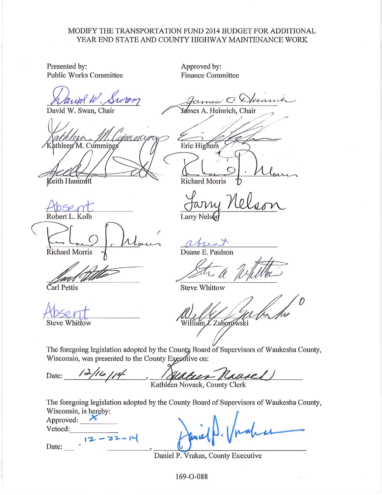### MODIFY THE TRANSPORTATION FUND 2014 BUDGET FOR ADDITIONAL YEAR END STATE AND COUNTY HIGHWAY MAINTENANCE WORK

Presented by: **Public Works Committee** 

lank W. Suren

David W. Swan, Chair

athleen M. Cummings

Keith Hammitt

Robert L. Kolb

**Richard Morris** 

Carl Pettis

**Steve Whittow** 

Approved by: **Finance Committee** 

James C. Dennis es A. Heinrich, Chair Eric Highum

**Richard Morris** 

**Larry Nels** 

Duane E. Paulson

**Steve Whittow** 

illiam J. Zaborowski

The foregoing legislation adopted by the County Board of Supervisors of Waukesha County, Wisconsin, was presented to the County Executive on:

 $12116114$ alus Rauses Date: Kathleen Novack, County Clerk

The foregoing legislation adopted by the County Board of Supervisors of Waukesha County, Wisconsin, is hereby:

Approved:  $\overrightarrow{K}$ Vetoed:  $12 - 22 - 16$ Date:

Daniel P. Vrakas, County Executive

169-O-088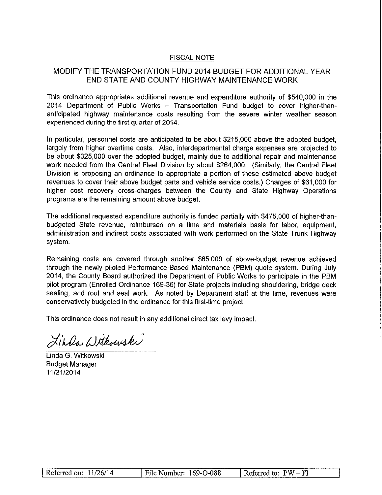#### **FISCAL NOTE**

## MODIFY THE TRANSPORTATION FUND 2014 BUDGET FOR ADDITIONAL YEAR END STATE AND COUNTY HIGHWAY MAINTENANCE WORK

This ordinance appropriates additional revenue and expenditure authority of \$540,000 in the 2014 Department of Public Works - Transportation Fund budget to cover higher-thananticipated highway maintenance costs resulting from the severe winter weather season experienced during the first quarter of 2014.

In particular, personnel costs are anticipated to be about \$215,000 above the adopted budget. largely from higher overtime costs. Also, interdepartmental charge expenses are projected to be about \$325,000 over the adopted budget, mainly due to additional repair and maintenance work needed from the Central Fleet Division by about \$264,000. (Similarly, the Central Fleet Division is proposing an ordinance to appropriate a portion of these estimated above budget revenues to cover their above budget parts and vehicle service costs.) Charges of \$61,000 for higher cost recovery cross-charges between the County and State Highway Operations programs are the remaining amount above budget.

The additional requested expenditure authority is funded partially with \$475,000 of higher-thanbudgeted State revenue, reimbursed on a time and materials basis for labor, equipment, administration and indirect costs associated with work performed on the State Trunk Highway system.

Remaining costs are covered through another \$65,000 of above-budget revenue achieved through the newly piloted Performance-Based Maintenance (PBM) quote system. During July 2014, the County Board authorized the Department of Public Works to participate in the PBM pilot program (Enrolled Ordinance 169-36) for State projects including shouldering, bridge deck sealing, and rout and seal work. As noted by Department staff at the time, revenues were conservatively budgeted in the ordinance for this first-time project.

This ordinance does not result in any additional direct tax levy impact.

Linda Witkowski

Linda G. Witkowski **Budget Manager** 11/21/2014

| Referred on: $11/26/14$ | File Number: 169-O-088 | Referred to: $PW-FI$ |
|-------------------------|------------------------|----------------------|